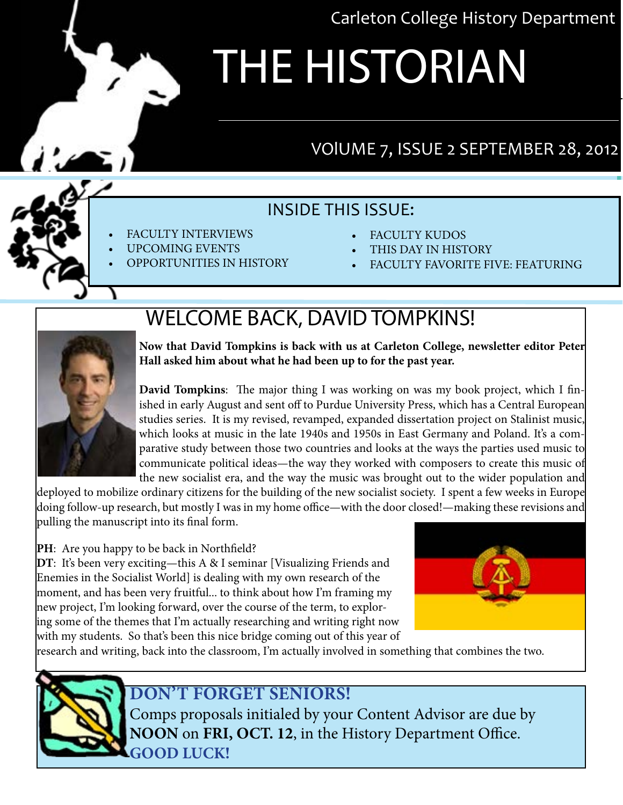Carleton College History Department

# THE HISTORIAN

### VOlUME 7, ISSUE 2 SEPTEMBER 28, 2012

#### INSIDE THIS ISSUE:

- **FACULTY INTERVIEWS**
- UPCOMING EVENTS
- **OPPORTUNITIES IN HISTORY**
- **FACULTY KUDOS**
- THIS DAY IN HISTORY
- **FACULTY FAVORITE FIVE: FEATURING**

## WELCOME BACK, DAVID TOMPKINS!



**Now that David Tompkins is back with us at Carleton College, newsletter editor Peter Hall asked him about what he had been up to for the past year.**

**David Tompkins**: The major thing I was working on was my book project, which I finished in early August and sent off to Purdue University Press, which has a Central European studies series. It is my revised, revamped, expanded dissertation project on Stalinist music, which looks at music in the late 1940s and 1950s in East Germany and Poland. It's a comparative study between those two countries and looks at the ways the parties used music to communicate political ideas—the way they worked with composers to create this music of the new socialist era, and the way the music was brought out to the wider population and

deployed to mobilize ordinary citizens for the building of the new socialist society. I spent a few weeks in Europe doing follow-up research, but mostly I was in my home office—with the door closed!—making these revisions and pulling the manuscript into its final form.

#### **PH**: Are you happy to be back in Northfield?

**DT**: It's been very exciting—this A & I seminar [Visualizing Friends and Enemies in the Socialist World] is dealing with my own research of the moment, and has been very fruitful... to think about how I'm framing my new project, I'm looking forward, over the course of the term, to exploring some of the themes that I'm actually researching and writing right now with my students. So that's been this nice bridge coming out of this year of



research and writing, back into the classroom, I'm actually involved in something that combines the two.

#### **DOn't forget seniors!**

Comps proposals initialed by your Content Advisor are due by **NOON** on **FRI, OCT. 12**, in the History Department Office. **GOOD LUCK!**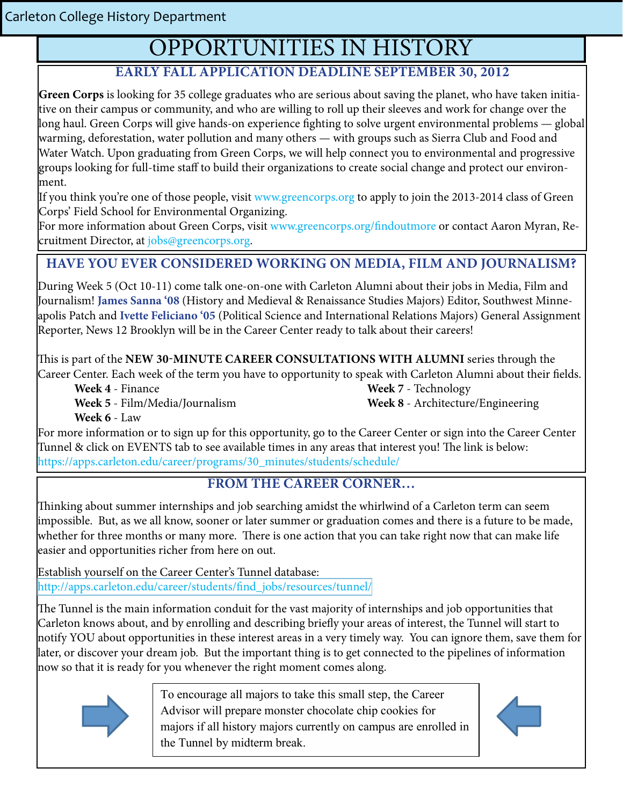## OPPORTUNITIES IN HISTORY

#### **Early Fall Application Deadline September 30, 2012**

**Green Corps** is looking for 35 college graduates who are serious about saving the planet, who have taken initiative on their campus or community, and who are willing to roll up their sleeves and work for change over the long haul. Green Corps will give hands-on experience fighting to solve urgent environmental problems — global warming, deforestation, water pollution and many others — with groups such as Sierra Club and Food and Water Watch. Upon graduating from Green Corps, we will help connect you to environmental and progressive groups looking for full-time staff to build their organizations to create social change and protect our environment.

If you think you're one of those people, visit [www.greencorps.org](http://www.greencorps.org) to apply to join the 2013-2014 class of Green Corps' Field School for Environmental Organizing.

For more information about Green Corps, visit [www.greencorps.org/findoutmore](http://www.greencorps.org/findoutmore) or contact Aaron Myran, Recruitment Director, at jobs@greencorps.org.

#### **Have you ever considered working on media, film and journalism?**

During Week 5 (Oct 10-11) come talk one-on-one with Carleton Alumni about their jobs in Media, Film and Journalism! **James Sanna '08** (History and Medieval & Renaissance Studies Majors) Editor, Southwest Minneapolis Patch and **Ivette Feliciano '05** (Political Science and International Relations Majors) General Assignment Reporter, News 12 Brooklyn will be in the Career Center ready to talk about their careers!

This is part of the **new 30-minute career consultations with Alumni** series through the Career Center. Each week of the term you have to opportunity to speak with Carleton Alumni about their fields.

 **Week 4** - Finance **Week 7** - Technology **Week 5** - Film/Media/Journalism **Week 8** - Architecture/Engineering

 **Week 6** - Law

For more information or to sign up for this opportunity, go to the Career Center or sign into the Career Center Tunnel & click on EVENTS tab to see available times in any areas that interest you! The link is below: https://apps.carleton.edu/career/programs/30\_minutes/students/schedule/

#### **FROM THE CAREER CORNER…**

Thinking about summer internal summer internal summer internal summer internal searching and seeming and seeming and seeming amidst the which the which the which term can seem in the which the which term can seem in the w  $\mu$  about summer internsings and job scareming annust the winfiwing or a carleton term can seem impossible. But, as we all know, sooner or later summer or graduation comes and there is a future to be made, whether for three months or many more. There is one action that you can take right now that can make life Thinking about summer internships and job searching amidst the whirlwind of a Carleton term can seem easier and opportunities richer from here on out.

Establish yourself on the Career Center's Tunnel database: Establish yourself on the Career Center's Tunnel database: http://apps.carleton.edu/career/students/find\_jobs/resources/tunnel/ [http://apps.carleton.edu/career/students/find\\_jobs/resources/tunnel/](http://apps.carleton.edu/career/students/find_jobs/resources/tunnel/)

The Tunnel is the main information conduit for the vast majority of internships and job opportunities that The Tunnel is the main information conduit for the vast majority of internships and job opportunities that Carleton knows about, and by enrolling and describing briefly your areas of interest, the Tunnel will start Carleton knows about, and by enrolling and describing briefly your areas of interest, the Tunnel will start to to notify **YOU** about opportunities in these interest areas in a very timely way. You can ignore them, notify YOU about opportunities in these interest areas in a very timely way. You can ignore them, save them for later, or discover your dream job. But the important thing is to get connected to the pipelines of information now so that it is ready for you whenever the right moment comes along.



To encourage all majors to take this small step, the Career Advisor will prepare monster chocolate chip cookies for majors if all history majors currently on campus are enrolled in the Tunnel by midterm break.

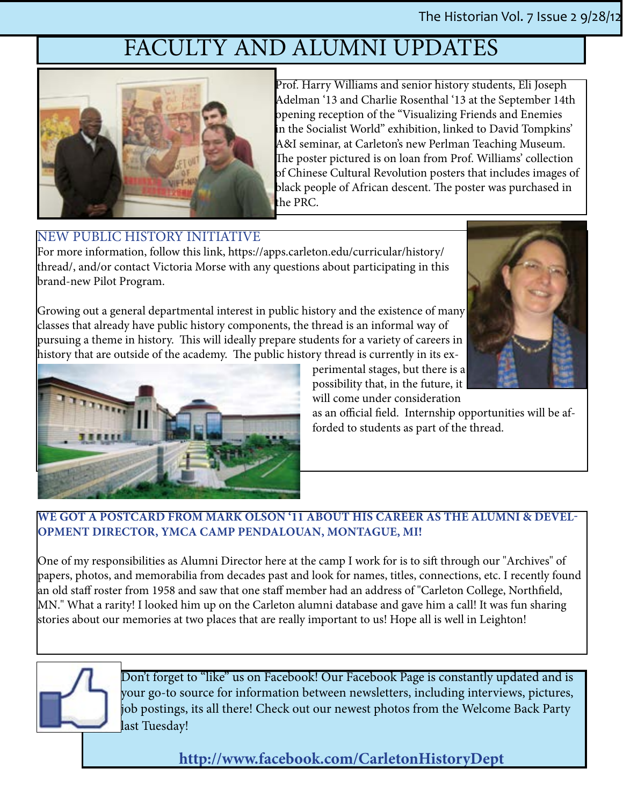## FACULTY AND ALUMNI UPDATES



Prof. Harry Williams and senior history students, Eli Joseph Adelman '13 and Charlie Rosenthal '13 at the September 14th opening reception of the "Visualizing Friends and Enemies in the Socialist World" exhibition, linked to David Tompkins' A&I seminar, at Carleton's new Perlman Teaching Museum. The poster pictured is on loan from Prof. Williams' collection of Chinese Cultural Revolution posters that includes images of black people of African descent. The poster was purchased in the PRC.

#### NEW PUBLIC HISTORY [INITIATIVE](%20https://apps.carleton.edu/curricular/history/thread/%20)

For more information, follow this link, https://apps.carleton.edu/curricular/history/ thread/, and/or contact Victoria Morse with any questions about participating in this brand-new Pilot Program.

Growing out a general departmental interest in public history and the existence of many classes that already have public history components, the thread is an informal way of pursuing a theme in history. This will ideally prepare students for a variety of careers in history that are outside of the academy. The public history thread is currently in its ex-





perimental stages, but there is a possibility that, in the future, it will come under consideration

as an official field. Internship opportunities will be afforded to students as part of the thread.

#### **We got a postcard from Mark Olson '11 about his career as the Alumni & Development Director, YMCA Camp Pendalouan, Montague, MI!**

One of my responsibilities as Alumni Director here at the camp I work for is to sift through our "Archives" of papers, photos, and memorabilia from decades past and look for names, titles, connections, etc. I recently found an old staff roster from 1958 and saw that one staff member had an address of "Carleton College, Northfield, MN." What a rarity! I looked him up on the Carleton alumni database and gave him a call! It was fun sharing stories about our memories at two places that are really important to us! Hope all is well in Leighton!



Don't forget to "like" us on Facebook! Our Facebook Page is constantly updated and is your go-to source for information between newsletters, including interviews, pictures, job postings, its all there! Check out our newest photos from the Welcome Back Party last Tuesday!

**[http://www.facebook.com/CarletonHistoryDept](%20%20http://www.facebook.com/CarletonHistoryDept)**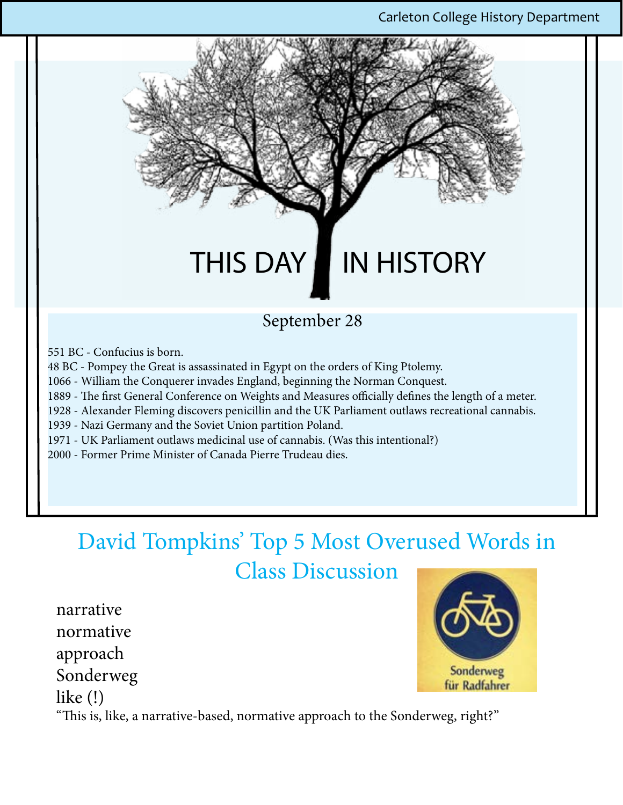## THIS DAY IN HISTORY

#### September 28

- 551 BC Confucius is born.
- 48 BC Pompey the Great is assassinated in Egypt on the orders of King Ptolemy.
- 1066 William the Conquerer invades England, beginning the Norman Conquest.
- 1889 The first General Conference on Weights and Measures officially defines the length of a meter.
- 1928 Alexander Fleming discovers penicillin and the UK Parliament outlaws recreational cannabis.
- 1939 Nazi Germany and the Soviet Union partition Poland.
- 1971 UK Parliament outlaws medicinal use of cannabis. (Was this intentional?)
- 2000 Former Prime Minister of Canada Pierre Trudeau dies.

## David Tompkins' Top 5 Most Overused Words in Class Discussion

narrative normative approach Sonderweg like (!)



"This is, like, a narrative-based, normative approach to the Sonderweg, right?"